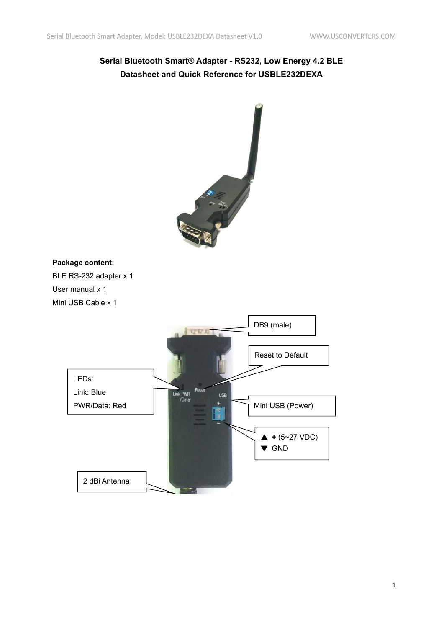# **Serial Bluetooth Smart® Adapter - RS232, Low Energy 4.2 BLE Datasheet and Quick Reference for USBLE232DEXA**



# **Package content:**

BLE RS-232 adapter x 1 User manual x 1 Mini USB Cable x 1

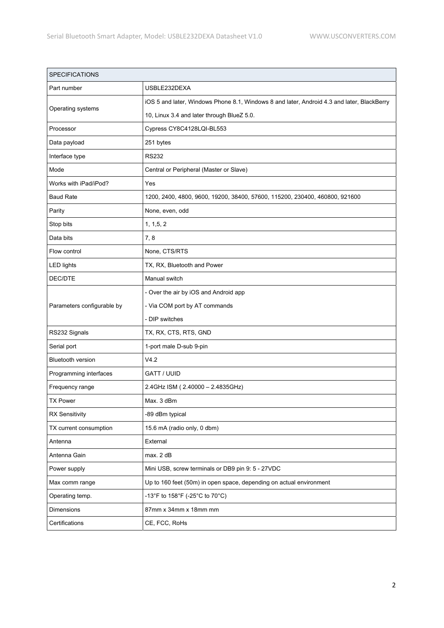| <b>SPECIFICATIONS</b>      |                                                                                            |  |  |
|----------------------------|--------------------------------------------------------------------------------------------|--|--|
| Part number                | USBLE232DEXA                                                                               |  |  |
| Operating systems          | iOS 5 and later, Windows Phone 8.1, Windows 8 and later, Android 4.3 and later, BlackBerry |  |  |
|                            | 10, Linux 3.4 and later through BlueZ 5.0.                                                 |  |  |
| Processor                  | Cypress CY8C4128LQI-BL553                                                                  |  |  |
| Data payload               | 251 bytes                                                                                  |  |  |
| Interface type             | <b>RS232</b>                                                                               |  |  |
| Mode                       | Central or Peripheral (Master or Slave)                                                    |  |  |
| Works with iPad/iPod?      | Yes                                                                                        |  |  |
| <b>Baud Rate</b>           | 1200, 2400, 4800, 9600, 19200, 38400, 57600, 115200, 230400, 460800, 921600                |  |  |
| Parity                     | None, even, odd                                                                            |  |  |
| Stop bits                  | 1, 1, 5, 2                                                                                 |  |  |
| Data bits                  | 7, 8                                                                                       |  |  |
| Flow control               | None, CTS/RTS                                                                              |  |  |
| <b>LED lights</b>          | TX, RX, Bluetooth and Power                                                                |  |  |
| DEC/DTE                    | Manual switch                                                                              |  |  |
|                            | - Over the air by iOS and Android app                                                      |  |  |
| Parameters configurable by | - Via COM port by AT commands                                                              |  |  |
|                            | - DIP switches                                                                             |  |  |
| RS232 Signals              | TX, RX, CTS, RTS, GND                                                                      |  |  |
| Serial port                | 1-port male D-sub 9-pin                                                                    |  |  |
| <b>Bluetooth version</b>   | V4.2                                                                                       |  |  |
| Programming interfaces     | GATT / UUID                                                                                |  |  |
| Frequency range            | 2.4GHz ISM (2.40000 - 2.4835GHz)                                                           |  |  |
| <b>TX Power</b>            | Max. 3 dBm                                                                                 |  |  |
| <b>RX Sensitivity</b>      | -89 dBm typical                                                                            |  |  |
| TX current consumption     | 15.6 mA (radio only, 0 dbm)                                                                |  |  |
| Antenna                    | External                                                                                   |  |  |
| Antenna Gain               | max. 2 dB                                                                                  |  |  |
| Power supply               | Mini USB, screw terminals or DB9 pin 9: 5 - 27VDC                                          |  |  |
| Max comm range             | Up to 160 feet (50m) in open space, depending on actual environment                        |  |  |
| Operating temp.            | -13°F to 158°F (-25°C to 70°C)                                                             |  |  |
| Dimensions                 | 87mm x 34mm x 18mm mm                                                                      |  |  |
| Certifications             | CE, FCC, RoHs                                                                              |  |  |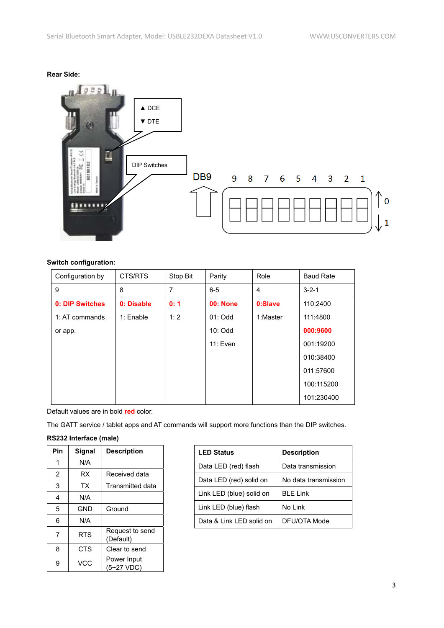



# **Switch configuration:**

| Configuration by | CTS/RTS    | Stop Bit | Parity          | Role           | <b>Baud Rate</b> |
|------------------|------------|----------|-----------------|----------------|------------------|
| 9                | 8          | 7        | $6 - 5$         | $\overline{4}$ | $3 - 2 - 1$      |
| 0: DIP Switches  | 0: Disable | 0:1      | <b>00: None</b> | 0:Slave        | 110:2400         |
| 1: AT commands   | 1: Enable  | 1:2      | $01:$ Odd       | 1:Master       | 111:4800         |
| or app.          |            |          | 10: Odd         |                | 000:9600         |
|                  |            |          | 11: Even        |                | 001:19200        |
|                  |            |          |                 |                | 010:38400        |
|                  |            |          |                 |                | 011:57600        |
|                  |            |          |                 |                | 100:115200       |
|                  |            |          |                 |                | 101:230400       |

Default values are in bold **red** color.

The GATT service / tablet apps and AT commands will support more functions than the DIP switches.

# **RS232 Interface (male)**

| Pin            | Signal     | <b>Description</b>           |
|----------------|------------|------------------------------|
| 1              | N/A        |                              |
| $\overline{2}$ | RX         | Received data                |
| 3              | <b>TX</b>  | <b>Transmitted data</b>      |
| 4              | N/A        |                              |
| 5              | GND        | Ground                       |
| 6              | N/A        |                              |
| 7              | <b>RTS</b> | Request to send<br>(Default) |
| 8              | <b>CTS</b> | Clear to send                |
| 9              | <b>VCC</b> | Power Input<br>(5~27 VDC)    |

| <b>LED Status</b>        | <b>Description</b>   |
|--------------------------|----------------------|
| Data LED (red) flash     | Data transmission    |
| Data LED (red) solid on  | No data transmission |
| Link LED (blue) solid on | <b>BLE Link</b>      |
| Link LED (blue) flash    | No Link              |
| Data & Link LED solid on | DFU/OTA Mode         |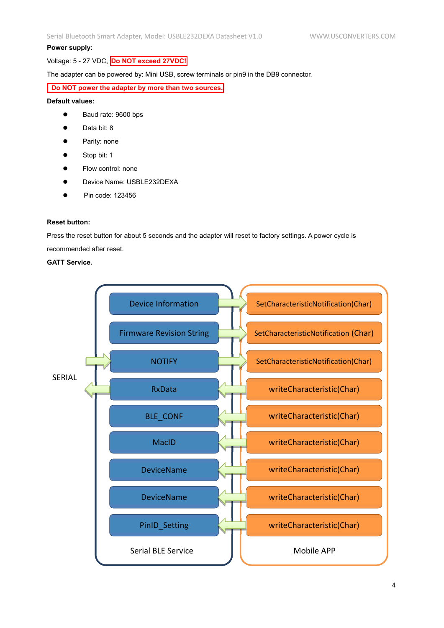#### **Power supply:**

Voltage: 5 - 27 VDC, **Do NOT exceed 27VDC!**

The adapter can be powered by: Mini USB, screw terminals or pin9 in the DB9 connector.

**Do NOT power the adapter by more than two sources.**

#### **Default values:**

- Baud rate: 9600 bps
- Data bit: 8
- Parity: none
- Stop bit: 1
- Flow control: none
- Device Name: USBLE232DEXA
- Pin code: 123456

#### **Reset button:**

Press the reset button for about 5 seconds and the adapter will reset to factory settings. A power cycle is

recommended after reset.

# **GATT Service.**

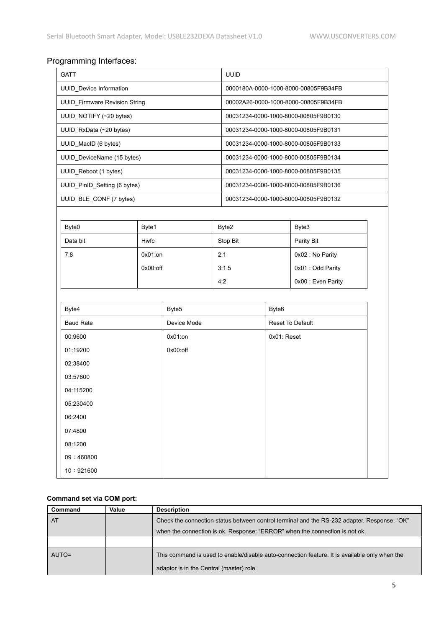# Programming Interfaces:

| <b>GATT</b>                  |                                      |             | <b>UUID</b>                          |                                      |                                      |  |
|------------------------------|--------------------------------------|-------------|--------------------------------------|--------------------------------------|--------------------------------------|--|
| UUID_Device Information      |                                      |             | 0000180A-0000-1000-8000-00805F9B34FB |                                      |                                      |  |
|                              | <b>UUID_Firmware Revision String</b> |             |                                      | 00002A26-0000-1000-8000-00805F9B34FB |                                      |  |
| UUID_NOTIFY (~20 bytes)      |                                      |             |                                      |                                      | 00031234-0000-1000-8000-00805F9B0130 |  |
| UUID_RxData (~20 bytes)      |                                      |             |                                      |                                      | 00031234-0000-1000-8000-00805F9B0131 |  |
| UUID_MacID (6 bytes)         |                                      |             |                                      | 00031234-0000-1000-8000-00805F9B0133 |                                      |  |
| UUID_DeviceName (15 bytes)   |                                      |             |                                      |                                      | 00031234-0000-1000-8000-00805F9B0134 |  |
| UUID Reboot (1 bytes)        |                                      |             |                                      |                                      | 00031234-0000-1000-8000-00805F9B0135 |  |
| UUID_PinID_Setting (6 bytes) |                                      |             |                                      |                                      | 00031234-0000-1000-8000-00805F9B0136 |  |
| UUID_BLE_CONF (7 bytes)      |                                      |             |                                      |                                      | 00031234-0000-1000-8000-00805F9B0132 |  |
|                              |                                      |             |                                      |                                      |                                      |  |
| Byte0                        | Byte1                                |             | Byte2                                |                                      | Byte3                                |  |
| Data bit                     | <b>Hwfc</b>                          |             | Stop Bit                             |                                      | Parity Bit                           |  |
| 7,8                          | $0x01:$ on                           |             | 2:1                                  |                                      | 0x02 : No Parity                     |  |
|                              | $0x00:$ off                          |             | 3:1.5                                |                                      | 0x01 : Odd Parity                    |  |
|                              |                                      |             | 4:2                                  |                                      | 0x00 : Even Parity                   |  |
|                              |                                      |             |                                      |                                      |                                      |  |
| Byte4                        |                                      | Byte5       |                                      | Byte <sub>6</sub>                    |                                      |  |
| <b>Baud Rate</b>             |                                      | Device Mode |                                      | Reset To Default                     |                                      |  |
| 00:9600                      |                                      |             | $0x01:$ on                           |                                      | 0x01: Reset                          |  |
| 01:19200                     |                                      |             |                                      |                                      |                                      |  |
| 02:38400                     |                                      |             |                                      |                                      |                                      |  |
| 03:57600                     |                                      |             |                                      |                                      |                                      |  |
| 04:115200                    |                                      |             |                                      |                                      |                                      |  |
| 05:230400                    |                                      |             |                                      |                                      |                                      |  |
| 06:2400                      |                                      |             |                                      |                                      |                                      |  |
| 07:4800                      |                                      |             |                                      |                                      |                                      |  |
| 08:1200                      |                                      |             |                                      |                                      |                                      |  |
| 09:460800                    |                                      |             |                                      |                                      |                                      |  |
| 10:921600                    |                                      |             |                                      |                                      |                                      |  |

# **Command set via COM port:**

| Command | Value | <b>Description</b>                                                                            |
|---------|-------|-----------------------------------------------------------------------------------------------|
| AT      |       | Check the connection status between control terminal and the RS-232 adapter. Response: "OK"   |
|         |       | when the connection is ok. Response: "ERROR" when the connection is not ok.                   |
|         |       |                                                                                               |
| AUTO=   |       | This command is used to enable/disable auto-connection feature. It is available only when the |
|         |       | adaptor is in the Central (master) role.                                                      |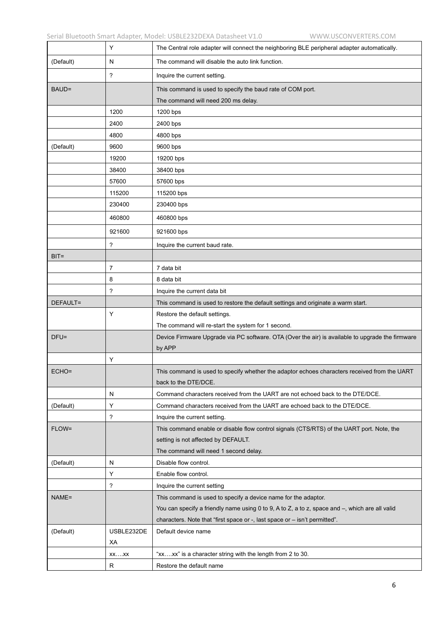|           | Y                        | The Central role adapter will connect the neighboring BLE peripheral adapter automatically.       |
|-----------|--------------------------|---------------------------------------------------------------------------------------------------|
| (Default) | N                        | The command will disable the auto link function.                                                  |
|           | $\overline{\phantom{a}}$ | Inquire the current setting.                                                                      |
| BAUD=     |                          | This command is used to specify the baud rate of COM port.                                        |
|           |                          | The command will need 200 ms delay.                                                               |
|           | 1200                     | 1200 bps                                                                                          |
|           | 2400                     | 2400 bps                                                                                          |
|           | 4800                     | 4800 bps                                                                                          |
| (Default) | 9600                     | 9600 bps                                                                                          |
|           | 19200                    | 19200 bps                                                                                         |
|           | 38400                    | 38400 bps                                                                                         |
|           | 57600                    | 57600 bps                                                                                         |
|           | 115200                   | 115200 bps                                                                                        |
|           | 230400                   | 230400 bps                                                                                        |
|           | 460800                   | 460800 bps                                                                                        |
|           | 921600                   | 921600 bps                                                                                        |
|           | ?                        | Inquire the current baud rate.                                                                    |
| $BIT=$    |                          |                                                                                                   |
|           | 7                        | 7 data bit                                                                                        |
|           | 8                        | 8 data bit                                                                                        |
|           | ?                        | Inquire the current data bit                                                                      |
| DEFAULT=  |                          | This command is used to restore the default settings and originate a warm start.                  |
|           | Y                        | Restore the default settings.                                                                     |
|           |                          | The command will re-start the system for 1 second.                                                |
| $DFU =$   |                          | Device Firmware Upgrade via PC software. OTA (Over the air) is available to upgrade the firmware  |
|           |                          | by APP                                                                                            |
|           | Υ                        |                                                                                                   |
| $ECHO=$   |                          | This command is used to specify whether the adaptor echoes characters received from the UART      |
|           |                          | back to the DTE/DCE.                                                                              |
|           | N                        | Command characters received from the UART are not echoed back to the DTE/DCE.                     |
| (Default) | Υ                        | Command characters received from the UART are echoed back to the DTE/DCE.                         |
|           | $\overline{\phantom{a}}$ | Inquire the current setting.                                                                      |
| FLOW=     |                          | This command enable or disable flow control signals (CTS/RTS) of the UART port. Note, the         |
|           |                          | setting is not affected by DEFAULT.                                                               |
|           |                          | The command will need 1 second delay.                                                             |
| (Default) | N                        | Disable flow control.                                                                             |
|           | Y                        | Enable flow control.                                                                              |
|           | $\overline{\phantom{a}}$ | Inquire the current setting                                                                       |
| NAME=     |                          | This command is used to specify a device name for the adaptor.                                    |
|           |                          | You can specify a friendly name using 0 to 9, A to Z, a to z, space and -, which are all valid    |
| (Default) | USBLE232DE               | characters. Note that "first space or -, last space or - isn't permitted".<br>Default device name |
|           | ХA                       |                                                                                                   |
|           | $XX$ $XX$                | "xxxx" is a character string with the length from 2 to 30.                                        |
|           | R                        | Restore the default name                                                                          |
|           |                          |                                                                                                   |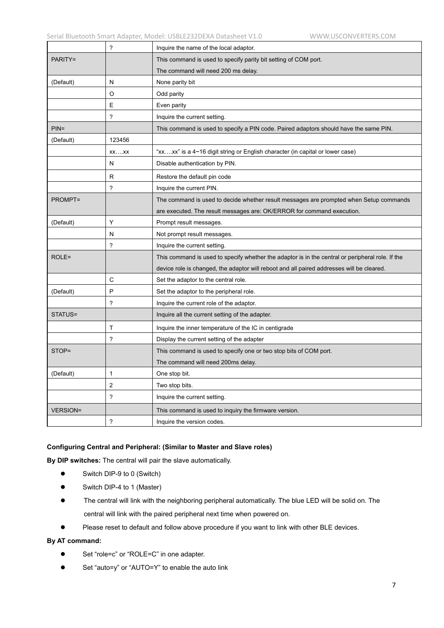|                 | $\boldsymbol{\cdot}$     | Inquire the name of the local adaptor.                                                           |
|-----------------|--------------------------|--------------------------------------------------------------------------------------------------|
| PARITY=         |                          | This command is used to specify parity bit setting of COM port.                                  |
|                 |                          | The command will need 200 ms delay.                                                              |
| (Default)       | N                        | None parity bit                                                                                  |
|                 | O                        | Odd parity                                                                                       |
|                 | Ε                        | Even parity                                                                                      |
|                 | $\ddot{\phantom{0}}$     | Inquire the current setting.                                                                     |
| $PIN =$         |                          | This command is used to specify a PIN code. Paired adaptors should have the same PIN.            |
| (Default)       | 123456                   |                                                                                                  |
|                 | $XX$ $XX$                | "xx….xx" is a 4∼16 digit string or English character (in capital or lower case)                  |
|                 | N                        | Disable authentication by PIN.                                                                   |
|                 | R                        | Restore the default pin code                                                                     |
|                 | ?                        | Inquire the current PIN.                                                                         |
| <b>PROMPT=</b>  |                          | The command is used to decide whether result messages are prompted when Setup commands           |
|                 |                          | are executed. The result messages are: OK/ERROR for command execution.                           |
| (Default)       | Υ                        | Prompt result messages.                                                                          |
|                 | N                        | Not prompt result messages.                                                                      |
|                 | $\overline{?}$           | Inquire the current setting.                                                                     |
| $ROLE =$        |                          | This command is used to specify whether the adaptor is in the central or peripheral role. If the |
|                 |                          | device role is changed, the adaptor will reboot and all paired addresses will be cleared.        |
|                 | C                        | Set the adaptor to the central role.                                                             |
| (Default)       | P                        | Set the adaptor to the peripheral role.                                                          |
|                 | ?                        | Inquire the current role of the adaptor.                                                         |
| STATUS=         |                          | Inquire all the current setting of the adapter.                                                  |
|                 | т                        | Inquire the inner temperature of the IC in centigrade                                            |
|                 | $\overline{\phantom{0}}$ | Display the current setting of the adapter                                                       |
| STOP=           |                          | This command is used to specify one or two stop bits of COM port.                                |
|                 |                          | The command will need 200ms delay.                                                               |
| (Default)       | $\mathbf{1}$             | One stop bit.                                                                                    |
|                 | 2                        | Two stop bits.                                                                                   |
|                 | $\overline{\phantom{a}}$ | Inquire the current setting.                                                                     |
| <b>VERSION=</b> |                          | This command is used to inquiry the firmware version.                                            |
|                 | $\ddot{\phantom{0}}$     | Inquire the version codes.                                                                       |

#### **Configuring Central and Peripheral: (Similar to Master and Slave roles)**

**By DIP switches:** The central will pair the slave automatically.

- Switch DIP-9 to 0 (Switch)
- Switch DIP-4 to 1 (Master)
- The central will link with the neighboring peripheral automatically. The blue LED will be solid on. The central will link with the paired peripheral next time when powered on.
- Please reset to default and follow above procedure if you want to link with other BLE devices.

#### **By AT command:**

- Set "role=c" or "ROLE=C" in one adapter.
- Set "auto=y" or "AUTO=Y" to enable the auto link